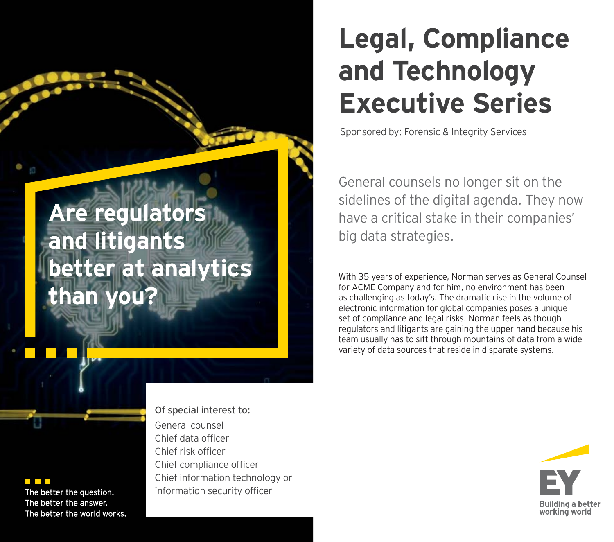# **Legal, Compliance and Technology Executive Series**

Sponsored by: Forensic & Integrity Services

General counsels no longer sit on the sidelines of the digital agenda. They now have a critical stake in their companies' big data strategies.

With 35 years of experience, Norman serves as General Counsel for ACME Company and for him, no environment has been as challenging as today's. The dramatic rise in the volume of electronic information for global companies poses a unique set of compliance and legal risks. Norman feels as though regulators and litigants are gaining the upper hand because his team usually has to sift through mountains of data from a wide variety of data sources that reside in disparate systems.



## **Are regulators and litigants better at analytics than you?**

#### <u> Timba</u>

The better the question. The better the answer. The better the world works.

### General counsel Chief data officerChief risk officer Chief compliance officer Chief information technology or information security officer

Of special interest to: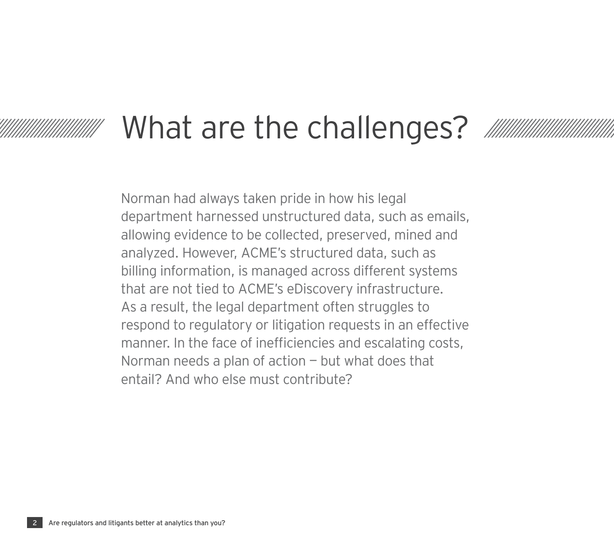# What are the challenges?

Norman had always taken pride in how his legal department harnessed unstructured data, such as emails, allowing evidence to be collected, preserved, mined and analyzed. However, ACME's structured data, such as billing information, is managed across different systems that are not tied to ACME's eDiscovery infrastructure. As a result, the legal department often struggles to respond to regulatory or litigation requests in an effective manner. In the face of inefficiencies and escalating costs, Norman needs a plan of action — but what does that entail? And who else must contribute?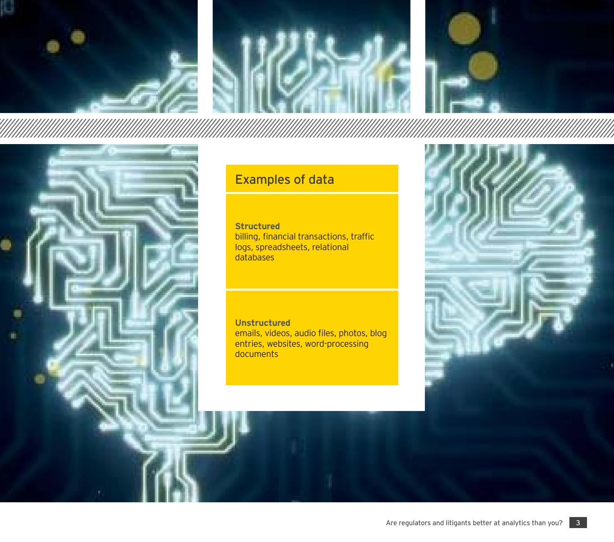



## Examples of data

**Structured** billing, financial transactions, traffic logs, spreadsheets, relational databases

**Unstructured**  emails, videos, audio files, photos, blog entries, websites, word-processing documents

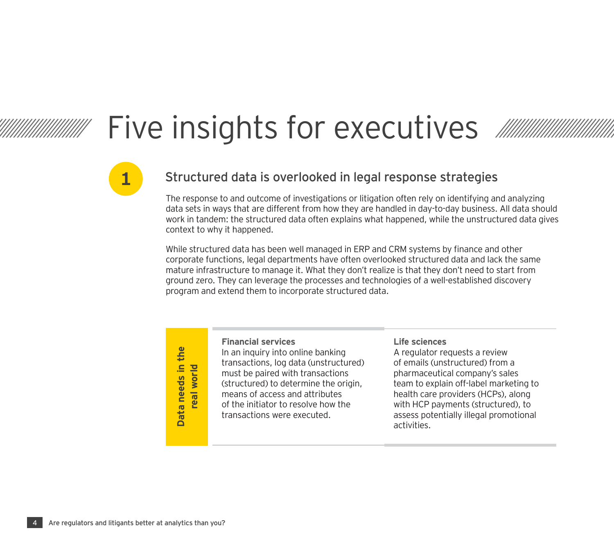# Five insights for executives

## Structured data is overlooked in legal response strategies

The response to and outcome of investigations or litigation often rely on identifying and analyzing data sets in ways that are different from how they are handled in day-to-day business. All data should work in tandem: the structured data often explains what happened, while the unstructured data gives context to why it happened.

While structured data has been well managed in ERP and CRM systems by finance and other corporate functions, legal departments have often overlooked structured data and lack the same mature infrastructure to manage it. What they don't realize is that they don't need to start from ground zero. They can leverage the processes and technologies of a well-established discovery program and extend them to incorporate structured data.

**real world**

#### **Financial services**

In an inquiry into online banking transactions, log data (unstructured) must be paired with transactions (structured) to determine the origin, means of access and attributes of the initiator to resolve how the transactions were executed.**Package in an inquiry into online banking** the section of emails transactions, log data (unstructured) of emails must be paired with transactions pharmace (structured) to determine the origin, team to e means of access an

#### **Life sciences**

A regulator requests a review of emails (unstructured) from a pharmaceutical company's sales team to explain off-label marketing to health care providers (HCPs), along with HCP payments (structured), to assess potentially illegal promotional

**1**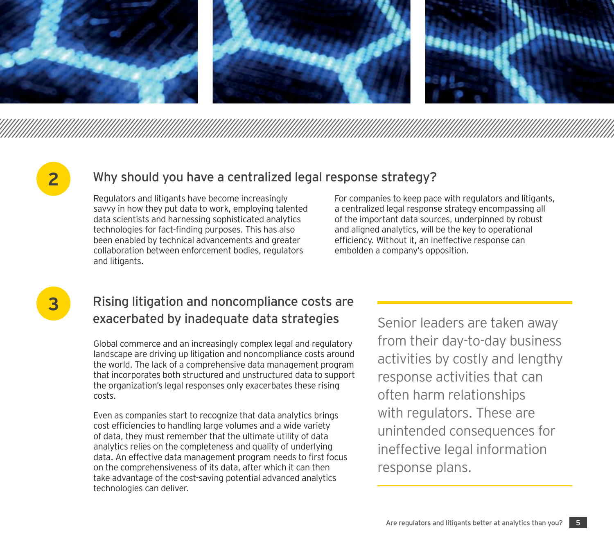

## **2**

### Why should you have a centralized legal response strategy?

Regulators and litigants have become increasingly savvy in how they put data to work, employing talented data scientists and harnessing sophisticated analytics technologies for fact-finding purposes. This has also been enabled by technical advancements and greater collaboration between enforcement bodies, regulators and litigants.

For companies to keep pace with regulators and litigants, a centralized legal response strategy encompassing all of the important data sources, underpinned by robust and aligned analytics, will be the key to operational efficiency. Without it, an ineffective response can embolden a company's opposition.

**3**

## Rising litigation and noncompliance costs are exacerbated by inadequate data strategies

Global commerce and an increasingly complex legal and regulatory landscape are driving up litigation and noncompliance costs around the world. The lack of a comprehensive data management program that incorporates both structured and unstructured data to support the organization's legal responses only exacerbates these rising costs.

Even as companies start to recognize that data analytics brings cost efficiencies to handling large volumes and a wide variety of data, they must remember that the ultimate utility of data analytics relies on the completeness and quality of underlying data. An effective data management program needs to first focus on the comprehensiveness of its data, after which it can then take advantage of the cost-saving potential advanced analytics technologies can deliver.

Senior leaders are taken away from their day-to-day business activities by costly and lengthy response activities that can often harm relationships with regulators. These are unintended consequences for ineffective legal information response plans.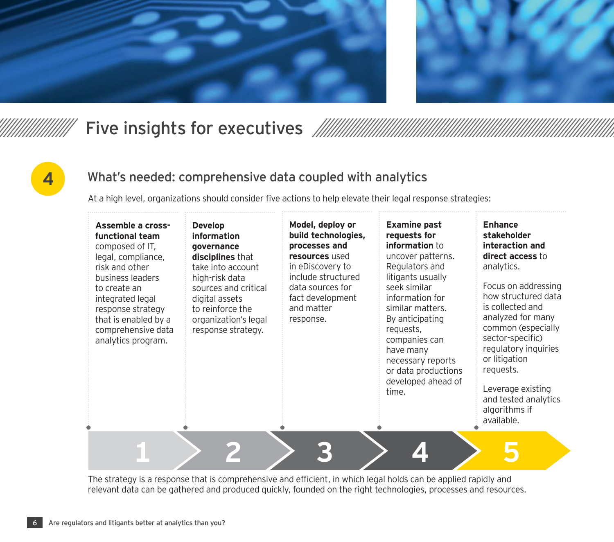



## Five insights for executives

# **4**

## What's needed: comprehensive data coupled with analytics

At a high level, organizations should consider five actions to help elevate their legal response strategies:

| Assemble a cross-<br>functional team<br>composed of IT.<br>legal, compliance,<br>risk and other<br>business leaders<br>to create an<br>integrated legal<br>response strategy<br>that is enabled by a<br>comprehensive data<br>analytics program. | <b>Develop</b><br>information<br>qovernance<br>disciplines that<br>take into account<br>high-risk data<br>sources and critical<br>digital assets<br>to reinforce the<br>organization's legal<br>response strategy. | Model, deploy or<br>build technologies,<br>processes and<br>resources used<br>in eDiscovery to<br>include structured<br>data sources for<br>fact development<br>and matter<br>response. | <b>Examine past</b><br>requests for<br>information to<br>uncover patterns.<br>Regulators and<br>litigants usually<br>seek similar<br>information for<br>similar matters.<br>By anticipating<br>requests,<br>companies can<br>have many<br>necessary reports<br>or data productions<br>developed ahead of<br>time. | <b>Enhance</b><br>stakeholder<br>interaction and<br>direct access to<br>analytics.<br>Focus on addressing<br>how structured data<br>is collected and<br>analyzed for many<br>common (especially<br>sector-specific)<br>regulatory inquiries<br>or litigation<br>requests.<br>Leverage existing<br>and tested analytics<br>algorithms if<br>available. |
|--------------------------------------------------------------------------------------------------------------------------------------------------------------------------------------------------------------------------------------------------|--------------------------------------------------------------------------------------------------------------------------------------------------------------------------------------------------------------------|-----------------------------------------------------------------------------------------------------------------------------------------------------------------------------------------|-------------------------------------------------------------------------------------------------------------------------------------------------------------------------------------------------------------------------------------------------------------------------------------------------------------------|-------------------------------------------------------------------------------------------------------------------------------------------------------------------------------------------------------------------------------------------------------------------------------------------------------------------------------------------------------|
|                                                                                                                                                                                                                                                  |                                                                                                                                                                                                                    |                                                                                                                                                                                         |                                                                                                                                                                                                                                                                                                                   |                                                                                                                                                                                                                                                                                                                                                       |

The strategy is a response that is comprehensive and efficient, in which legal holds can be applied rapidly and relevant data can be gathered and produced quickly, founded on the right technologies, processes and resources.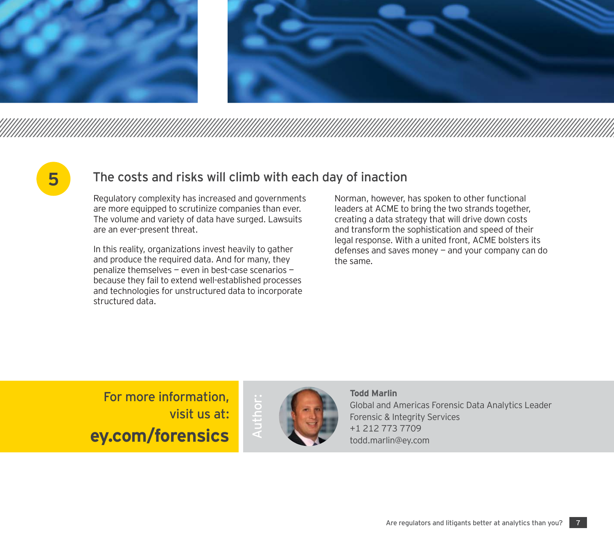





## The costs and risks will climb with each day of inaction

Regulatory complexity has increased and governments are more equipped to scrutinize companies than ever. The volume and variety of data have surged. Lawsuits are an ever-present threat.

In this reality, organizations invest heavily to gather and produce the required data. And for many, they penalize themselves — even in best-case scenarios because they fail to extend well-established processes and technologies for unstructured data to incorporate structured data.

Norman, however, has spoken to other functional leaders at ACME to bring the two strands together, creating a data strategy that will drive down costs and transform the sophistication and speed of their legal response. With a united front, ACME bolsters its defenses and saves money — and your company can do the same.

## For more information, visit us at:**ey.com/forensics**



#### **Todd Marlin**

Global and Americas Forensic Data Analytics Leader Forensic & Integrity Services +1 212 773 7709